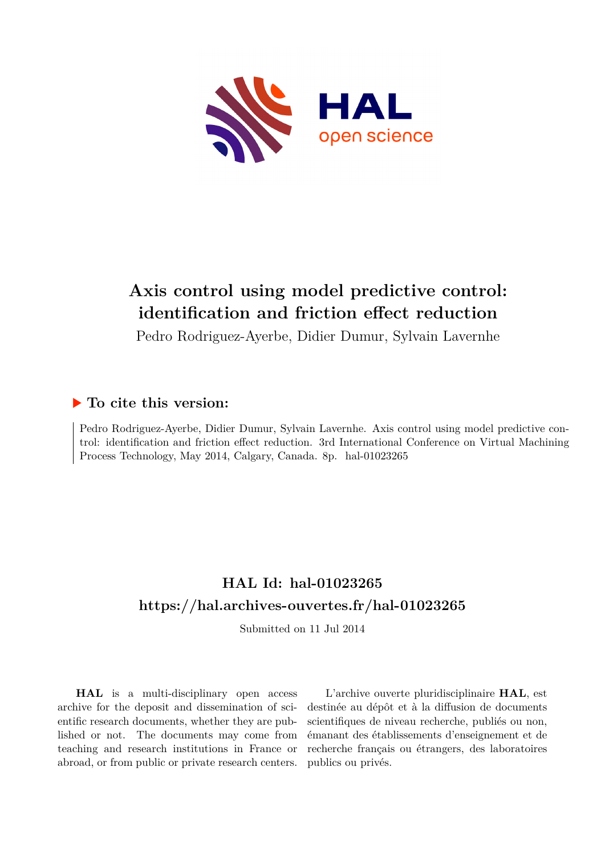

# **Axis control using model predictive control: identification and friction effect reduction**

Pedro Rodriguez-Ayerbe, Didier Dumur, Sylvain Lavernhe

## **To cite this version:**

Pedro Rodriguez-Ayerbe, Didier Dumur, Sylvain Lavernhe. Axis control using model predictive control: identification and friction effect reduction. 3rd International Conference on Virtual Machining Process Technology, May 2014, Calgary, Canada. 8p. hal-01023265

## **HAL Id: hal-01023265 <https://hal.archives-ouvertes.fr/hal-01023265>**

Submitted on 11 Jul 2014

**HAL** is a multi-disciplinary open access archive for the deposit and dissemination of scientific research documents, whether they are published or not. The documents may come from teaching and research institutions in France or abroad, or from public or private research centers.

L'archive ouverte pluridisciplinaire **HAL**, est destinée au dépôt et à la diffusion de documents scientifiques de niveau recherche, publiés ou non, émanant des établissements d'enseignement et de recherche français ou étrangers, des laboratoires publics ou privés.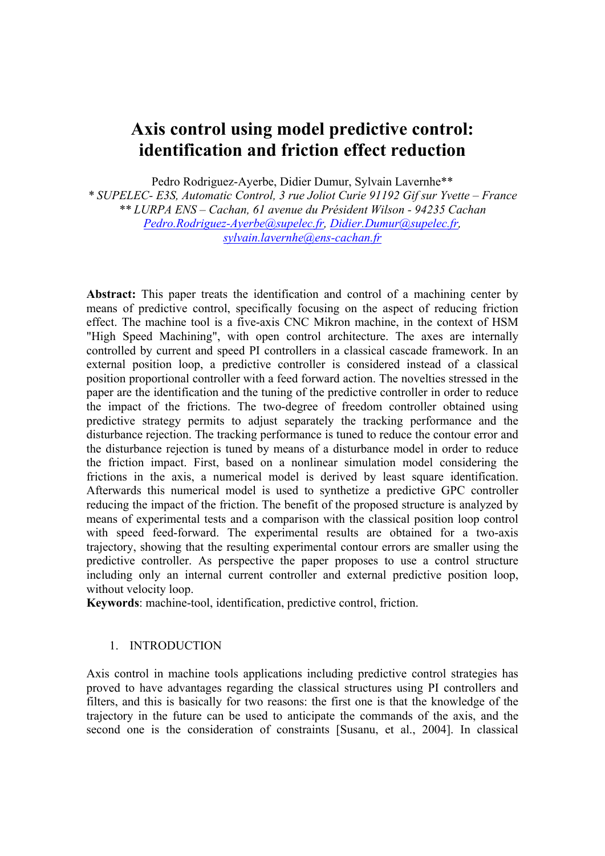## **Axis control using model predictive control: identification and friction effect reduction**

Pedro Rodriguez-Ayerbe, Didier Dumur, Sylvain Lavernhe\*\*

*\* SUPELEC- E3S, Automatic Control, 3 rue Joliot Curie 91192 Gif sur Yvette – France \*\* LURPA ENS – Cachan, 61 avenue du Président Wilson - 94235 Cachan Pedro.Rodriguez-Ayerbe@supelec.fr, Didier.Dumur@supelec.fr, sylvain.lavernhe@ens-cachan.fr*

**Abstract:** This paper treats the identification and control of a machining center by means of predictive control, specifically focusing on the aspect of reducing friction effect. The machine tool is a five-axis CNC Mikron machine, in the context of HSM "High Speed Machining", with open control architecture. The axes are internally controlled by current and speed PI controllers in a classical cascade framework. In an external position loop, a predictive controller is considered instead of a classical position proportional controller with a feed forward action. The novelties stressed in the paper are the identification and the tuning of the predictive controller in order to reduce the impact of the frictions. The two-degree of freedom controller obtained using predictive strategy permits to adjust separately the tracking performance and the disturbance rejection. The tracking performance is tuned to reduce the contour error and the disturbance rejection is tuned by means of a disturbance model in order to reduce the friction impact. First, based on a nonlinear simulation model considering the frictions in the axis, a numerical model is derived by least square identification. Afterwards this numerical model is used to synthetize a predictive GPC controller reducing the impact of the friction. The benefit of the proposed structure is analyzed by means of experimental tests and a comparison with the classical position loop control with speed feed-forward. The experimental results are obtained for a two-axis trajectory, showing that the resulting experimental contour errors are smaller using the predictive controller. As perspective the paper proposes to use a control structure including only an internal current controller and external predictive position loop, without velocity loop.

**Keywords**: machine-tool, identification, predictive control, friction.

### 1. INTRODUCTION

Axis control in machine tools applications including predictive control strategies has proved to have advantages regarding the classical structures using PI controllers and filters, and this is basically for two reasons: the first one is that the knowledge of the trajectory in the future can be used to anticipate the commands of the axis, and the second one is the consideration of constraints [Susanu, et al., 2004]. In classical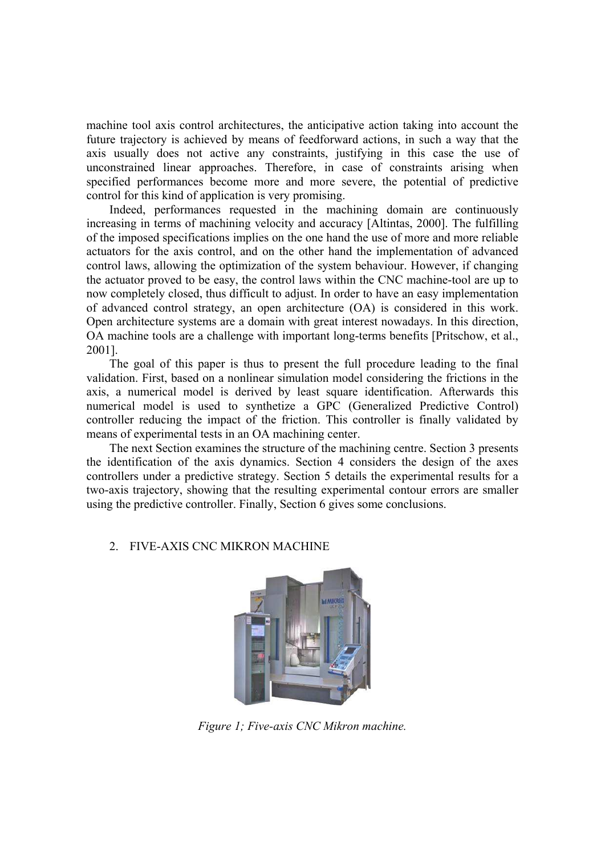machine tool axis control architectures, the anticipative action taking into account the future trajectory is achieved by means of feedforward actions, in such a way that the axis usually does not active any constraints, justifying in this case the use of unconstrained linear approaches. Therefore, in case of constraints arising when specified performances become more and more severe, the potential of predictive control for this kind of application is very promising.

Indeed, performances requested in the machining domain are continuously increasing in terms of machining velocity and accuracy [Altintas, 2000]. The fulfilling of the imposed specifications implies on the one hand the use of more and more reliable actuators for the axis control, and on the other hand the implementation of advanced control laws, allowing the optimization of the system behaviour. However, if changing the actuator proved to be easy, the control laws within the CNC machine-tool are up to now completely closed, thus difficult to adjust. In order to have an easy implementation of advanced control strategy, an open architecture (OA) is considered in this work. Open architecture systems are a domain with great interest nowadays. In this direction, OA machine tools are a challenge with important long-terms benefits [Pritschow, et al., 2001].

The goal of this paper is thus to present the full procedure leading to the final validation. First, based on a nonlinear simulation model considering the frictions in the axis, a numerical model is derived by least square identification. Afterwards this numerical model is used to synthetize a GPC (Generalized Predictive Control) controller reducing the impact of the friction. This controller is finally validated by means of experimental tests in an OA machining center.

The next Section examines the structure of the machining centre. Section 3 presents the identification of the axis dynamics. Section 4 considers the design of the axes controllers under a predictive strategy. Section 5 details the experimental results for a two-axis trajectory, showing that the resulting experimental contour errors are smaller using the predictive controller. Finally, Section 6 gives some conclusions.

### 2. FIVE-AXIS CNC MIKRON MACHINE



*Figure 1; Five-axis CNC Mikron machine.*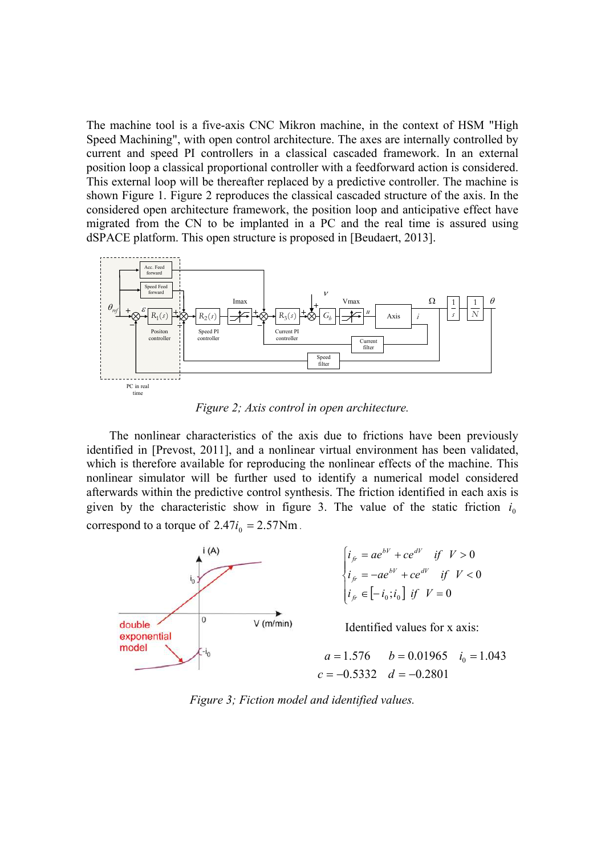The machine tool is a five-axis CNC Mikron machine, in the context of HSM "High Speed Machining", with open control architecture. The axes are internally controlled by current and speed PI controllers in a classical cascaded framework. In an external position loop a classical proportional controller with a feedforward action is considered. This external loop will be thereafter replaced by a predictive controller. The machine is shown Figure 1. Figure 2 reproduces the classical cascaded structure of the axis. In the considered open architecture framework, the position loop and anticipative effect have migrated from the CN to be implanted in a PC and the real time is assured using dSPACE platform. This open structure is proposed in [Beudaert, 2013].



*Figure 2; Axis control in open architecture.* 

The nonlinear characteristics of the axis due to frictions have been previously identified in [Prevost, 2011], and a nonlinear virtual environment has been validated, which is therefore available for reproducing the nonlinear effects of the machine. This nonlinear simulator will be further used to identify a numerical model considered afterwards within the predictive control synthesis. The friction identified in each axis is given by the characteristic show in figure 3. The value of the static friction  $i_0$ correspond to a torque of  $2.47i_0 = 2.57$ Nm.



*Figure 3; Fiction model and identified values.*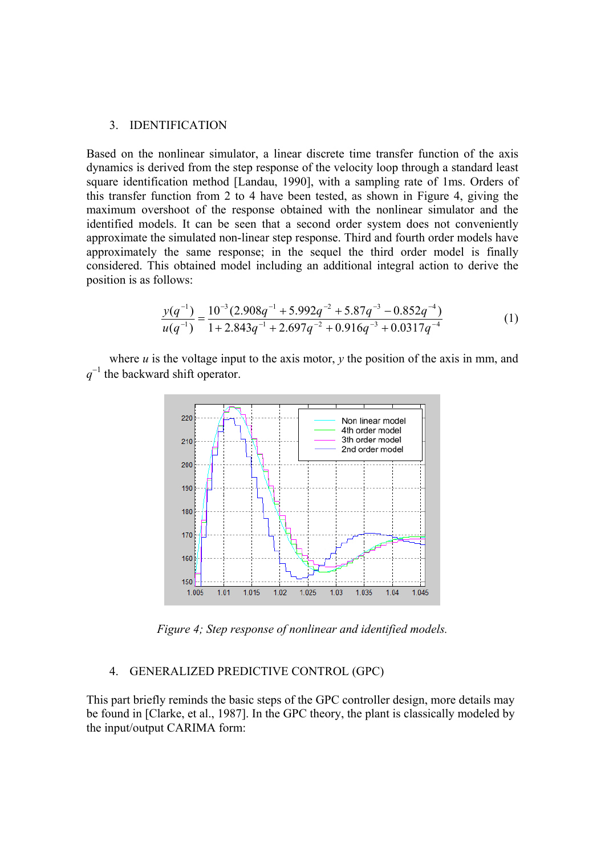#### 3. IDENTIFICATION

Based on the nonlinear simulator, a linear discrete time transfer function of the axis dynamics is derived from the step response of the velocity loop through a standard least square identification method [Landau, 1990], with a sampling rate of 1ms. Orders of this transfer function from 2 to 4 have been tested, as shown in Figure 4, giving the maximum overshoot of the response obtained with the nonlinear simulator and the identified models. It can be seen that a second order system does not conveniently approximate the simulated non-linear step response. Third and fourth order models have approximately the same response; in the sequel the third order model is finally considered. This obtained model including an additional integral action to derive the position is as follows:

$$
\frac{y(q^{-1})}{u(q^{-1})} = \frac{10^{-3}(2.908q^{-1} + 5.992q^{-2} + 5.87q^{-3} - 0.852q^{-4})}{1 + 2.843q^{-1} + 2.697q^{-2} + 0.916q^{-3} + 0.0317q^{-4}}
$$
(1)

where  $u$  is the voltage input to the axis motor,  $y$  the position of the axis in mm, and *q* 1 the backward shift operator.



*Figure 4; Step response of nonlinear and identified models.* 

#### 4. GENERALIZED PREDICTIVE CONTROL (GPC)

This part briefly reminds the basic steps of the GPC controller design, more details may be found in [Clarke, et al., 1987]. In the GPC theory, the plant is classically modeled by the input/output CARIMA form: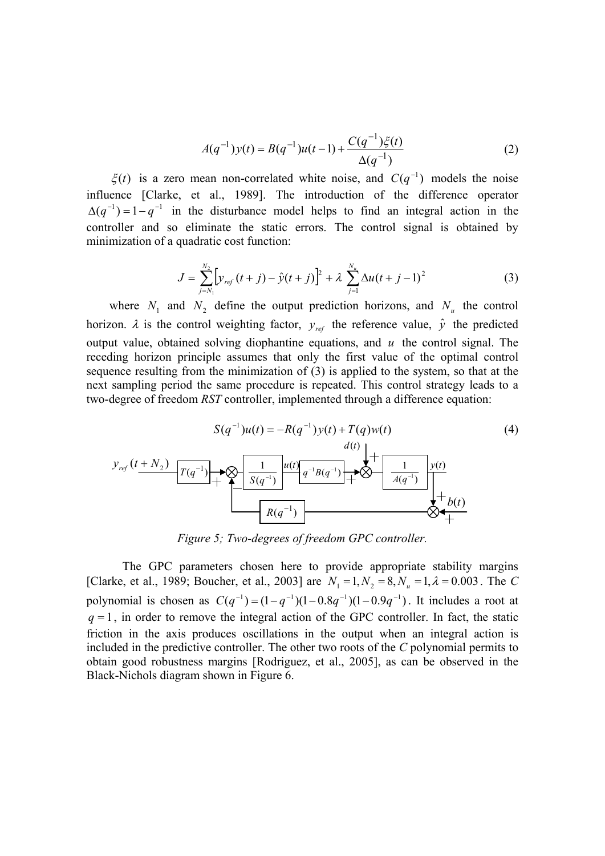$$
A(q^{-1})y(t) = B(q^{-1})u(t-1) + \frac{C(q^{-1})\xi(t)}{\Delta(q^{-1})}
$$
 (2)

 $\xi(t)$  is a zero mean non-correlated white noise, and  $C(q^{-1})$  models the noise influence [Clarke, et al., 1989]. The introduction of the difference operator  $\Delta(q^{-1}) = 1 - q^{-1}$  in the disturbance model helps to find an integral action in the controller and so eliminate the static errors. The control signal is obtained by minimization of a quadratic cost function:

$$
J = \sum_{j=N_1}^{N_2} \left[ y_{ref}(t+j) - \hat{y}(t+j) \right]^2 + \lambda \sum_{j=1}^{N_u} \Delta u(t+j-1)^2 \tag{3}
$$

where  $N_1$  and  $N_2$  define the output prediction horizons, and  $N_u$  the control horizon.  $\lambda$  is the control weighting factor,  $y_{ref}$  the reference value,  $\hat{y}$  the predicted output value, obtained solving diophantine equations, and *u* the control signal. The receding horizon principle assumes that only the first value of the optimal control sequence resulting from the minimization of (3) is applied to the system, so that at the next sampling period the same procedure is repeated. This control strategy leads to a two-degree of freedom *RST* controller, implemented through a difference equation:



*Figure 5; Two-degrees of freedom GPC controller.* 

The GPC parameters chosen here to provide appropriate stability margins [Clarke, et al., 1989; Boucher, et al., 2003] are  $N_1 = 1, N_2 = 8, N_u = 1, \lambda = 0.003$ . The *C* polynomial is chosen as  $C(q^{-1}) = (1 - q^{-1})(1 - 0.8q^{-1})(1 - 0.9q^{-1})$ . It includes a root at  $q = 1$ , in order to remove the integral action of the GPC controller. In fact, the static friction in the axis produces oscillations in the output when an integral action is included in the predictive controller. The other two roots of the *C* polynomial permits to obtain good robustness margins [Rodriguez, et al., 2005], as can be observed in the Black-Nichols diagram shown in Figure 6.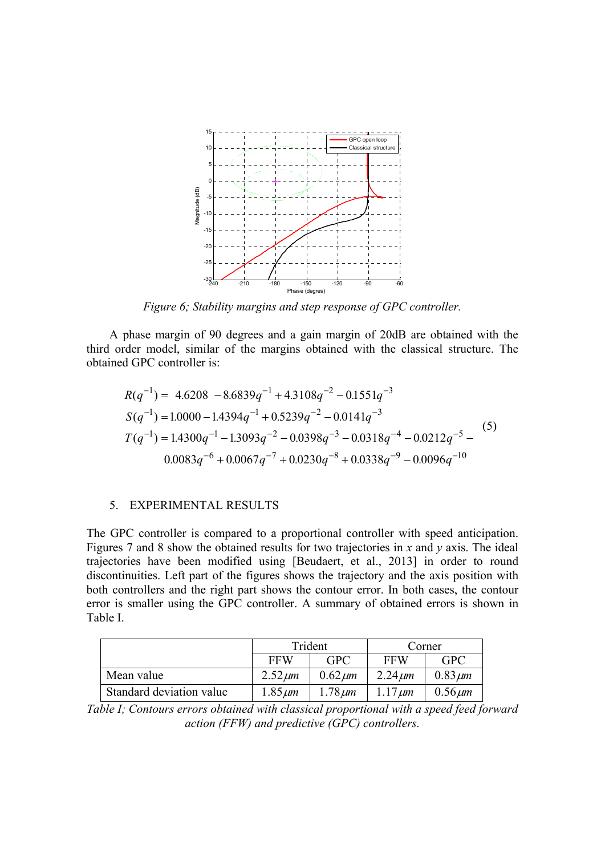

*Figure 6; Stability margins and step response of GPC controller.* 

A phase margin of 90 degrees and a gain margin of 20dB are obtained with the third order model, similar of the margins obtained with the classical structure. The obtained GPC controller is:

$$
R(q^{-1}) = 4.6208 - 8.6839q^{-1} + 4.3108q^{-2} - 0.1551q^{-3}
$$
  
\n
$$
S(q^{-1}) = 1.0000 - 1.4394q^{-1} + 0.5239q^{-2} - 0.0141q^{-3}
$$
  
\n
$$
T(q^{-1}) = 1.4300q^{-1} - 1.3093q^{-2} - 0.0398q^{-3} - 0.0318q^{-4} - 0.0212q^{-5} - 0.0083q^{-6} + 0.0067q^{-7} + 0.0230q^{-8} + 0.0338q^{-9} - 0.0096q^{-10}
$$
 (5)

#### 5. EXPERIMENTAL RESULTS

The GPC controller is compared to a proportional controller with speed anticipation. Figures 7 and 8 show the obtained results for two trajectories in *x* and *y* axis. The ideal trajectories have been modified using [Beudaert, et al., 2013] in order to round discontinuities. Left part of the figures shows the trajectory and the axis position with both controllers and the right part shows the contour error. In both cases, the contour error is smaller using the GPC controller. A summary of obtained errors is shown in Table I.

|                          | Trident      |              | Corner       |              |
|--------------------------|--------------|--------------|--------------|--------------|
|                          | <b>FFW</b>   | <b>GPC</b>   | <b>FFW</b>   | <b>GPC</b>   |
| Mean value               | $2.52 \mu m$ | $0.62 \mu m$ | $2.24 \mu m$ | $0.83 \mu m$ |
| Standard deviation value | $1.85 \mu m$ | $1.78 \mu m$ | $1.17 \mu m$ | $0.56 \mu m$ |

*Table I; Contours errors obtained with classical proportional with a speed feed forward action (FFW) and predictive (GPC) controllers.*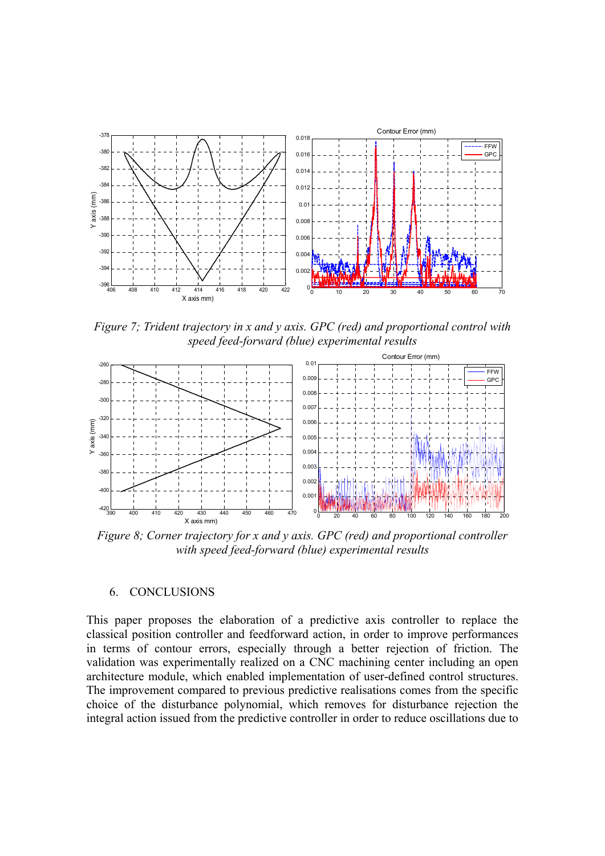

*Figure 7; Trident trajectory in x and y axis. GPC (red) and proportional control with speed feed-forward (blue) experimental results* 



*Figure 8; Corner trajectory for x and y axis. GPC (red) and proportional controller with speed feed-forward (blue) experimental results* 

### 6. CONCLUSIONS

This paper proposes the elaboration of a predictive axis controller to replace the classical position controller and feedforward action, in order to improve performances in terms of contour errors, especially through a better rejection of friction. The validation was experimentally realized on a CNC machining center including an open architecture module, which enabled implementation of user-defined control structures. The improvement compared to previous predictive realisations comes from the specific choice of the disturbance polynomial, which removes for disturbance rejection the integral action issued from the predictive controller in order to reduce oscillations due to